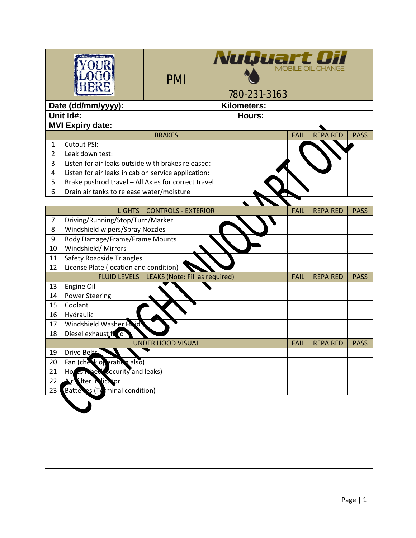| <b>NuQuart Direction CHANGE</b><br><b>PMI</b><br>780-231-3163 |                                                                                                                                                |                                     |             |                 |             |  |  |  |
|---------------------------------------------------------------|------------------------------------------------------------------------------------------------------------------------------------------------|-------------------------------------|-------------|-----------------|-------------|--|--|--|
| Date (dd/mm/yyyy):<br>Kilometers:                             |                                                                                                                                                |                                     |             |                 |             |  |  |  |
| Unit Id#:<br>Hours:                                           |                                                                                                                                                |                                     |             |                 |             |  |  |  |
|                                                               | <b>MVI Expiry date:</b>                                                                                                                        |                                     |             |                 |             |  |  |  |
|                                                               |                                                                                                                                                | <b>BRAKES</b>                       | <b>FAIL</b> | <b>REPAIRED</b> | <b>PASS</b> |  |  |  |
| 1                                                             | Cutout PSI:                                                                                                                                    |                                     |             |                 |             |  |  |  |
| $\overline{2}$                                                | Leak down test:                                                                                                                                |                                     |             |                 |             |  |  |  |
| 3                                                             | Listen for air leaks outside with brakes released:                                                                                             |                                     |             |                 |             |  |  |  |
| 4                                                             | Listen for air leaks in cab on service application:                                                                                            |                                     |             |                 |             |  |  |  |
| 5                                                             | Brake pushrod travel - All Axles for correct travel                                                                                            |                                     |             |                 |             |  |  |  |
| 6                                                             | Drain air tanks to release water/moisture                                                                                                      |                                     |             |                 |             |  |  |  |
|                                                               |                                                                                                                                                |                                     |             |                 |             |  |  |  |
|                                                               |                                                                                                                                                | <b>LIGHTS - CONTROLS - EXTERIOR</b> | FAIL        | <b>REPAIRED</b> | <b>PASS</b> |  |  |  |
| $\overline{7}$                                                | Driving/Running/Stop/Turn/Marker                                                                                                               |                                     |             |                 |             |  |  |  |
| 8<br>9                                                        | Windshield wipers/Spray Nozzles                                                                                                                |                                     |             |                 |             |  |  |  |
| 10                                                            | <b>Body Damage/Frame/Frame Mounts</b>                                                                                                          |                                     |             |                 |             |  |  |  |
| 11                                                            | Windshield/Mirrors<br>Safety Roadside Triangles                                                                                                |                                     |             |                 |             |  |  |  |
|                                                               |                                                                                                                                                |                                     |             |                 |             |  |  |  |
|                                                               | License Plate (location and condition)<br>12<br>FLUID LEVELS - LEAKS (Note: Fill as required)<br><b>FAIL</b><br><b>REPAIRED</b><br><b>PASS</b> |                                     |             |                 |             |  |  |  |
| 13                                                            | Engine Oil                                                                                                                                     |                                     |             |                 |             |  |  |  |
| 14                                                            | <b>Power Steering</b>                                                                                                                          |                                     |             |                 |             |  |  |  |
| 15                                                            | Coolant                                                                                                                                        |                                     |             |                 |             |  |  |  |
| 16                                                            | Hydraulic                                                                                                                                      |                                     |             |                 |             |  |  |  |
| 17                                                            | Windshield Washer Frid                                                                                                                         |                                     |             |                 |             |  |  |  |
| 18                                                            | Diesel exhaust flud                                                                                                                            |                                     |             |                 |             |  |  |  |
|                                                               |                                                                                                                                                | <b>UNDER HOOD VISUAL</b>            | <b>FAIL</b> | <b>REPAIRED</b> | <b>PASS</b> |  |  |  |
|                                                               | 19 Drive Belts                                                                                                                                 |                                     |             |                 |             |  |  |  |
| 20                                                            | Fan (che k operation also)                                                                                                                     |                                     |             |                 |             |  |  |  |
| 21                                                            | Ho<br>hed security and leaks)                                                                                                                  |                                     |             |                 |             |  |  |  |
| 22                                                            | tilter in licator<br>≜ir                                                                                                                       |                                     |             |                 |             |  |  |  |
| 23                                                            | Batteres (Terminal condition)                                                                                                                  |                                     |             |                 |             |  |  |  |
|                                                               |                                                                                                                                                |                                     |             |                 |             |  |  |  |